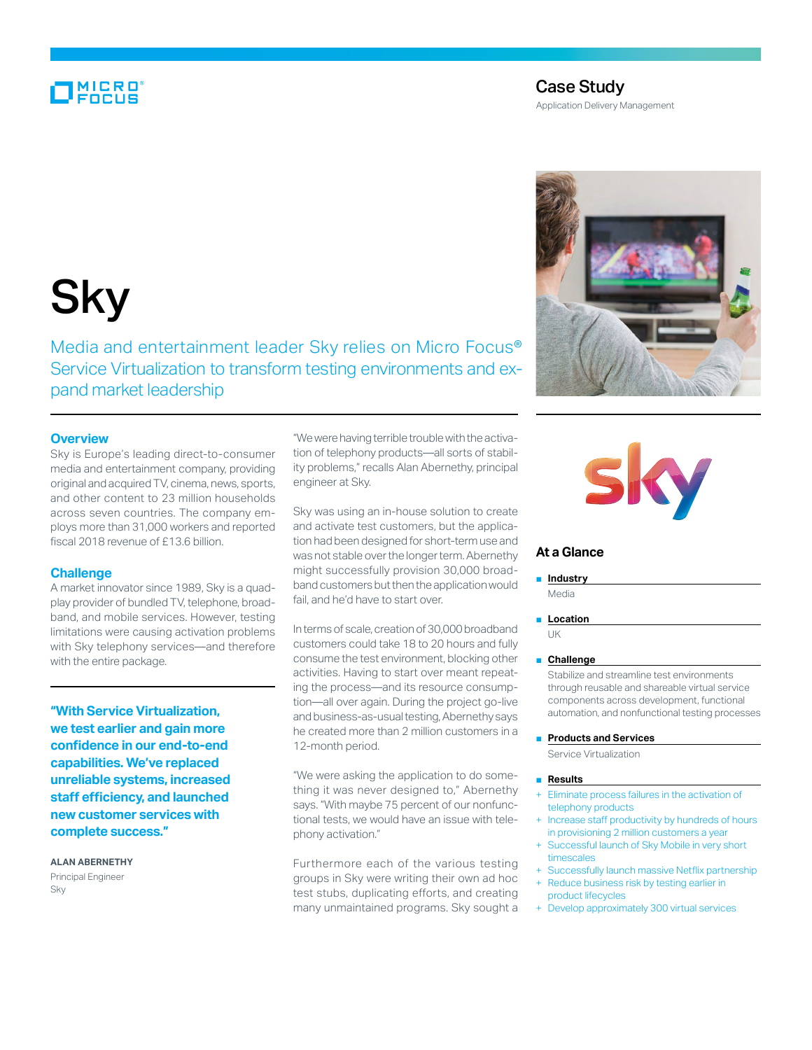## MICRO<br>FOCUS

### Case Study

Application Delivery Management

# **Sky**

Media and entertainment leader Sky relies on Micro Focus® Service Virtualization to transform testing environments and expand market leadership

#### **Overview**

Sky is Europe's leading direct-to-consumer media and entertainment company, providing original and acquired TV, cinema, news, sports, and other content to 23 million households across seven countries. The company employs more than 31,000 workers and reported fiscal 2018 revenue of £13.6 billion.

#### **Challenge**

A market innovator since 1989, Sky is a quadplay provider of bundled TV, telephone, broadband, and mobile services. However, testing limitations were causing activation problems with Sky telephony services—and therefore with the entire package.

**"With Service Virtualization, we test earlier and gain more confidence in our end-to-end capabilities. We've replaced unreliable systems, increased staff efficiency, and launched new customer services with complete success."**

**Alan Abernethy** Principal Engineer Sky

"We were having terrible trouble with the activation of telephony products—all sorts of stability problems," recalls Alan Abernethy, principal engineer at Sky.

Sky was using an in-house solution to create and activate test customers, but the application had been designed for short-term use and was not stable over the longer term. Abernethy might successfully provision 30,000 broadband customers but then the application would fail, and he'd have to start over.

In terms of scale, creation of 30,000 broadband customers could take 18 to 20 hours and fully consume the test environment, blocking other activities. Having to start over meant repeating the process—and its resource consumption—all over again. During the project go-live and business-as-usual testing, Abernethy says he created more than 2 million customers in a 12-month period.

"We were asking the application to do something it was never designed to," Abernethy says. "With maybe 75 percent of our nonfunctional tests, we would have an issue with telephony activation."

Furthermore each of the various testing groups in Sky were writing their own ad hoc test stubs, duplicating efforts, and creating many unmaintained programs. Sky sought a





#### **At a Glance**

#### ■ **Industry**

Media

#### ■ **Location** UK

#### ■ **Challenge**

Stabilize and streamline test environments through reusable and shareable virtual service components across development, functional automation, and nonfunctional testing processes

#### ■ **Products and Services**

Service Virtualization

#### ■ **Results**

- Eliminate process failures in the activation of telephony products
- Increase staff productivity by hundreds of hours in provisioning 2 million customers a year
- Successful launch of Sky Mobile in very short timescales
- + Successfully launch massive Netflix partnership Reduce business risk by testing earlier in product lifecycles
- + Develop approximately 300 virtual services